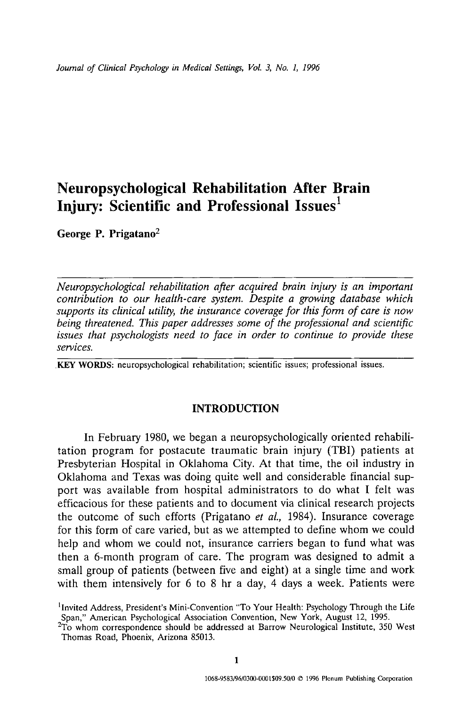# **Neuropsychological Rehabilitation After Brain**  Injury: Scientific and Professional Issues<sup>1</sup>

George P. Prigatano<sup>2</sup>

*Neuropsychological rehabilitation after acquired brain injury is an important contribution to our health-care system. Despite a growing database which supports its clinical utility, the insurance coverage for this form of care is now being threatened. This paper addresses some of the professional and scientific issues that psychologists need to face in order to continue to provide these services.* 

KEY WORDS: neuropsychological rehabilitation; scientific issues; professional issues.

#### INTRODUCTION

In February 1980, we began a neuropsychologically oriented rehabilitation program for postacute traumatic brain injury (TBI) patients at Presbyterian Hospital in Oklahoma City. At that time, the oil industry in Oklahoma and Texas was doing quite well and considerable financial support was available from hospital administrators to do what I felt was efficacious for these patients and to document via clinical research projects the outcome of such efforts (Prigatano *et al.,* 1984). Insurance coverage for this form of care varied, but as we attempted to define whom we could help and whom we could not, insurance carriers began to fund what was then a 6-month program of care. The program was designed to admit a small group of patients (between five and eight) at a single time and work with them intensively for 6 to 8 hr a day, 4 days a week. Patients were

<sup>&</sup>lt;sup>1</sup>Invited Address, President's Mini-Convention "To Your Health: Psychology Through the Life Span," American Psychological Association Convention, New York, August 12, 1995.

<sup>2</sup>To whom correspondence should be addressed at Barrow Neurological Institute, 350 West Thomas Road, Phoenix, Arizona 85013.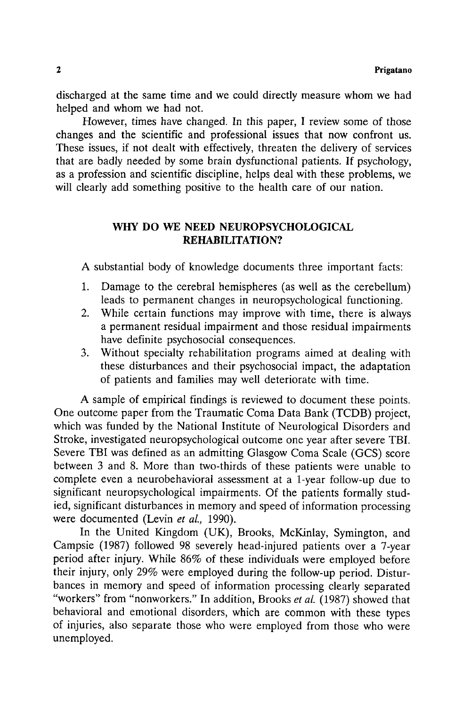discharged at the same time and we could directly measure whom we had helped and whom we had not.

However, times have changed. In this paper, I review some of those changes and the scientific and professional issues that now confront us. These issues, if not dealt with effectively, threaten the delivery of services that are badly needed by some brain dysfunctional patients. If psychology, as a profession and scientific discipline, helps deal with these problems, we will clearly add something positive to the health care of our nation.

# **WHY DO WE NEED NEUROPSYCHOLOGICAL**  REHABILITATION?

A substantial body of knowledge documents three important facts:

- 1. Damage to the cerebral hemispheres (as well as the cerebellum) leads to permanent changes in neuropsychological functioning.
- 2. While certain functions may improve with time, there is always a permanent residual impairment and those residual impairments have definite psychosocial consequences.
- 3. Without specialty rehabilitation programs aimed at dealing with these disturbances and their psychosocial impact, the adaptation of patients and families may well deteriorate with time.

A sample of empirical findings is reviewed to document these points. One outcome paper from the Traumatic Coma Data Bank (TCDB) project, which was funded by the National Institute of Neurological Disorders and Stroke, investigated neuropsychological outcome one year after severe TBI. Severe TBI was defined as an admitting Glasgow Coma Scale (GCS) score between 3 and 8. More than two-thirds of these patients were unable to complete even a neurobehavioral assessment at a 1-year follow-up due to significant neuropsychological impairments. Of the patients formally studied, significant disturbances in memory and speed of information processing were documented (Levin *et al.,* 1990).

In the United Kingdom (UK), Brooks, McKinlay, Symington, and Campsie (1987) followed 98 severely head-injured patients over a 7-year period after injury. While 86% of these individuals were employed before their injury, only 29% were employed during the follow-up period. Disturbances in memory and speed of information processing clearly separated "workers" from "nonworkers." In addition, Brooks *et al.* (1987) showed that behavioral and emotional disorders, which are common with these types of injuries, also separate those who were employed from those who were unemployed.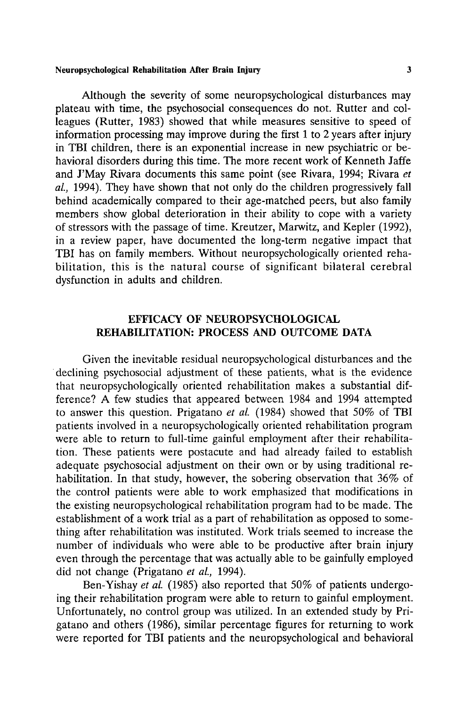#### **Neuropsychological Rehabilitation After Brain Injury 3**

Although the severity of some neuropsychological disturbances may plateau with time, the psychosocial consequences do not. Rutter and colleagues (Rutter, 1983) showed that while measures sensitive to speed of information processing may improve during the first 1 to 2 years after injury in TBI children, there is an exponential increase in new psychiatric or behavioral disorders during this time. The more recent work of Kenneth Jaffe and J'May Rivara documents this same point (see Rivara, 1994; Rivara *et al.,* 1994). They have shown that not only do the children progressively fall behind academically compared to their age-matched peers, but also family members show global deterioration in their ability to cope with a variety of stressors with the passage of time. Kreutzer, Marwitz, and Kepler (1992), in a review paper, have documented the long-term negative impact that TBI has on family members. Without neuropsychologically oriented rehabilitation, this is the natural course of significant bilateral cerebral dysfunction in adults and children.

# EFFICACY OF NEUROPSYCHOLOGICAL REHABILITATION: PROCESS AND OUTCOME DATA

Given the inevitable residual neuropsychological disturbances and the declining psychosocial adjustment of these patients, what is the evidence that neuropsychologically oriented rehabilitation makes a substantial difference? A few studies that appeared between 1984 and 1994 attempted to answer this question. Prigatano *et al.* (1984) showed that 50% of TBI patients involved in a neuropsychologically oriented rehabilitation program were able to return to full-time gainful employment after their rehabilitation. These patients were postacute and had already failed to establish adequate psychosocial adjustment on their own or by using traditional rehabilitation. In that study, however, the sobering observation that 36% of the control patients were able to work emphasized that modifications in the existing neuropsychological rehabilitation program had to be made. The establishment of a work trial as a part of rehabilitation as opposed to something after rehabilitation was instituted. Work trials seemed to increase the number of individuals who were able to be productive after brain injury even through the percentage that was actually able to be gainfully employed did not change (Prigatano *et al.,* 1994).

Ben-Yishay *et al.* (1985) also reported that 50% of patients undergoing their rehabilitation program were able to return to gainful employment. Unfortunately, no control group was utilized. In an extended study by Prigatano and others (1986), similar percentage figures for returning to work were reported for TBI patients and the neuropsychological and behavioral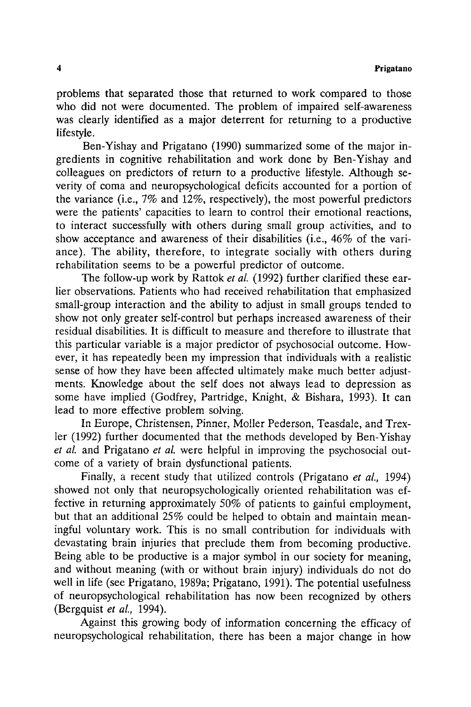problems that separated those that returned to work compared to those who did not were documented. The problem of impaired self-awareness was clearly identified as a major deterrent for returning to a productive lifestyle.

Ben-Yishay and Prigatano (1990) summarized some of the major ingredients in cognitive rehabilitation and work done by Ben-Yishay and colleagues on predictors of return to a productive lifestyle. Although severity of coma and neuropsychological deficits accounted for a portion of the variance (i.e., 7% and 12%, respectively), the most powerful predictors were the patients' capacities to learn to control their emotional reactions, to interact successfully with others during small group activities, and to show acceptance and awareness of their disabilities (i.e., 46% of the variance). The ability, therefore, to integrate socially with others during rehabilitation seems to be a powerful predictor of outcome.

The follow-up work by Rattok *et al.* (1992) further clarified these earlier observations. Patients who had received rehabilitation that emphasized small-group interaction and the ability to adjust in small groups tended to show not only greater self-control but perhaps increased awareness of their residual disabilities. It is difficult to measure and therefore to illustrate that this particular variable is a major predictor of psychosocial outcome. However, it has repeatedly been my impression that individuals with a realistic sense of how they have been affected ultimately make much better adjustments. Knowledge about the self does not always lead to depression as some have implied (Godfrey, Partridge, Knight, & Bishara, 1993). It can lead to more effective problem solving.

In Europe, Christensen, Pinner, Moiler Pederson, Teasdale, and Trexler (1992) further documented that the methods developed by Ben-Yishay *et al.* and Prigatano *et al.* were helpful in improving the psychosocial outcome of a variety of brain dysfunctional patients.

Finally, a recent study that utilized controls (Prigatano *et al.,* 1994) showed not only that neuropsychologically oriented rehabilitation was effective in returning approximately 50% of patients to gainful employment, but that an additional 25% could be helped to obtain and maintain meaningful voluntary work. This is no small contribution for individuals with devastating brain injuries that preclude them from becoming productive. Being able to be productive is a major symbol in our society for meaning, and without meaning (with or without brain injury) individuals do not do well in life (see Prigatano, 1989a; Prigatano, 1991). The potential usefulness of neuropsychological rehabilitation has now been recognized by others (Bergquist *et al.,* 1994).

Against this growing body of information concerning the efficacy of neuropsychological rehabilitation, there has been a major change in how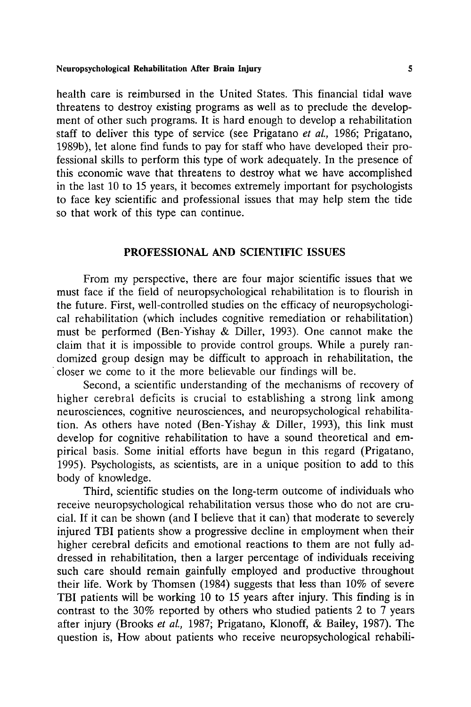#### **Neuropsychological Rehabilitation After Brain Injury** 5

health care is reimbursed in the United States. This financial tidal wave threatens to destroy existing programs as well as to preclude the development of other such programs. It is hard enough to develop a rehabilitation staff to deliver this type of service (see Prigatano *et al.,* 1986; Prigatano, 1989b), let alone find funds to pay for staff who have developed their professional skills to perform this type of work adequately. In the presence of this economic wave that threatens to destroy what we have accomplished in the last 10 to 15 years, it becomes extremely important for psychologists to face key scientific and professional issues that may help stem the tide so that work of this type can continue.

# PROFESSIONAL AND SCIENTIFIC ISSUES

From my perspective, there are four major scientific issues that we must face if the field of neuropsychological rehabilitation is to flourish in the future. First, well-controlled studies on the efficacy of neuropsychological rehabilitation (which includes cognitive remediation or rehabilitation) must be performed (Ben-Yishay & Diller, 1993). One cannot make the claim that it is impossible to provide control groups. While a purely randomized group design may be difficult to approach in rehabilitation, the closer we come to it the more believable our findings will be.

Second, a scientific understanding of the mechanisms of recovery of higher cerebral deficits is crucial to establishing a strong link among neurosciences, cognitive neurosciences, and neuropsychological rehabilitation. As others have noted (Ben-Yishay & Diller, 1993), this link must develop for cognitive rehabilitation to have a sound theoretical and empirical basis. Some initial efforts have begun in this regard (Prigatano, 1995). Psychologists, as scientists, are in a unique position to add to this body of knowledge.

Third, scientific studies on the long-term outcome of individuals who receive neuropsychological rehabilitation versus those who do not are crucial. If it can be shown (and I believe that it can) that moderate to severely injured TBI patients show a progressive decline in employment when their higher cerebral deficits and emotional reactions to them are not fully addressed in rehabilitation, then a larger percentage of individuals receiving such care should remain gainfully employed and productive throughout their life. Work by Thomsen (1984) suggests that less than 10% of severe TBI patients will be working 10 to 15 years after injury. This finding is in contrast to the 30% reported by others who studied patients 2 to 7 years after injury (Brooks *et al.,* 1987; Prigatano, Klonoff, & Bailey, 1987). The question is, How about patients who receive neuropsychological rehabili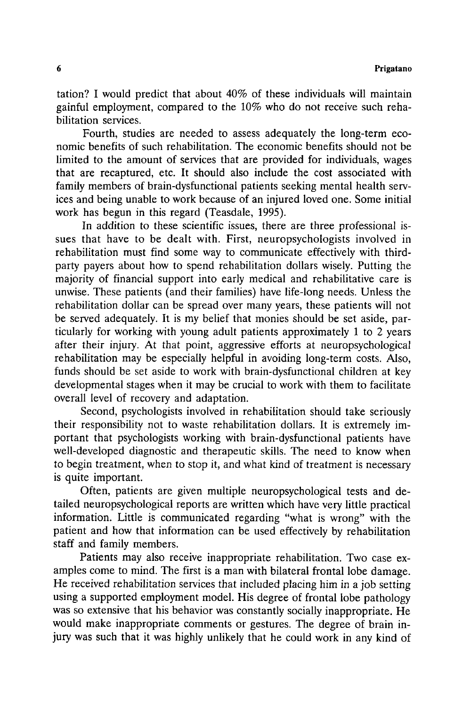tation? I would predict that about 40% of these individuals will maintain gainful employment, compared to the 10% who do not receive such rehabilitation services.

Fourth, studies are needed to assess adequately the long-term economic benefits of such rehabilitation. The economic benefits should not be limited to the amount of services that are provided for individuals, wages that are recaptured, etc. It should also include the cost associated with family members of brain-dysfunctional patients seeking mental health services and being unable to work because of an injured loved one. Some initial work has begun in this regard (Teasdale, 1995).

In addition to these scientific issues, there are three professional issues that have to be dealt with. First, neuropsychologists involved in rehabilitation must find some way to communicate effectively with thirdparty payers about how to spend rehabilitation dollars wisely. Putting the majority of financial support into early medical and rehabilitative care is unwise. These patients (and their families) have life-long needs. Unless the rehabilitation dollar can be spread over many years, these patients will not be served adequately. It is my belief that monies should be set aside, particularly for working with young adult patients approximately 1 to 2 years after their injury. At that point, aggressive efforts at neuropsychological rehabilitation may be especially helpful in avoiding long-term costs. Also, funds should be set aside to work with brain-dysfunctional children at key developmental stages when it may be crucial to work with them to facilitate overall level of recovery and adaptation.

Second, psychologists involved in rehabilitation should take seriously their responsibility not to waste rehabilitation dollars. It is extremely important that psychologists working with brain-dysfunctional patients have well-developed diagnostic and therapeutic skills. The need to know when to begin treatment, when to stop it, and what kind of treatment is necessary is quite important.

Often, patients are given multiple neuropsychological tests and detailed neuropsychological reports are written which have very little practical information. Little is communicated regarding "what is wrong" with the patient and how that information can be used effectively by rehabilitation staff and family members.

Patients may also receive inappropriate rehabilitation. Two case examples come to mind. The first is a man with bilateral frontal lobe damage. He received rehabilitation services that included placing him in a job setting using a supported employment model. His degree of frontal lobe pathology was so extensive that his behavior was constantly socially inappropriate. He would make inappropriate comments or gestures. The degree of brain injury was such that it was highly unlikely that he could work in any kind of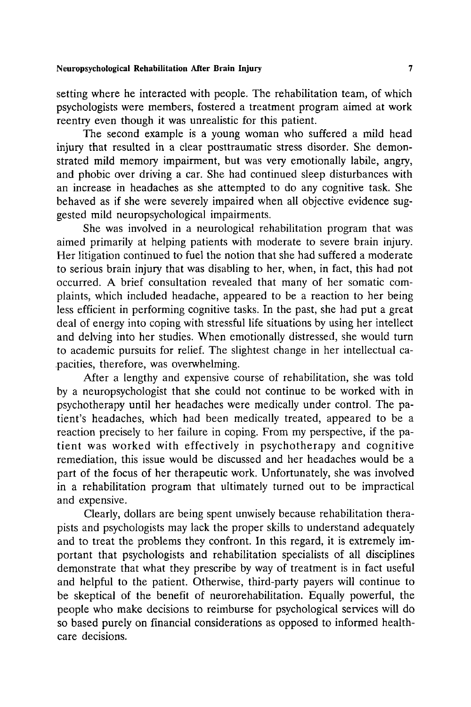#### **Neuropsychologieal Rehabilitation After Brain Injury** 7

setting where he interacted with people. The rehabilitation team, of which psychologists were members, fostered a treatment program aimed at work reentry even though it was unrealistic for this patient.

The second example is a young woman who suffered a mild head injury that resulted in a clear posttraumatic stress disorder. She demonstrated mild memory impairment, but was very emotionally labile, angry, and phobic over driving a car. She had continued sleep disturbances with an increase in headaches as she attempted to do any cognitive task. She behaved as if she were severely impaired when all objective evidence suggested mild neuropsychological impairments.

She was involved in a neurological rehabilitation program that was aimed primarily at helping patients with moderate to severe brain injury. Her litigation continued to fuel the notion that she had suffered a moderate to serious brain injury that was disabling to her, when, in fact, this had not occurred. A brief consultation revealed that many of her somatic complaints, which included headache, appeared to be a reaction to her being less efficient in performing cognitive tasks. In the past, she had put a great deal of energy into coping with stressful life situations by using her intellect and delving into her studies. When emotionally distressed, she would turn to academic pursuits for relief. The slightest change in her intellectual capacities, therefore, was overwhelming.

After a lengthy and expensive course of rehabilitation, she was told by a neuropsychologist that she could not continue to be worked with in psychotherapy until her headaches were medically under control. The patient's headaches, which had been medically treated, appeared to be a reaction precisely to her failure in coping. From my perspective, if the patient was worked with effectively in psychotherapy and cognitive remediation, this issue would be discussed and her headaches would be a part of the focus of her therapeutic work. Unfortunately, she was involved in a rehabilitation program that ultimately turned out to be impractical and expensive.

Clearly, dollars are being spent unwisely because rehabilitation therapists and psychologists may lack the proper skills to understand adequately and to treat the problems they confront. In this regard, it is extremely important that psychologists and rehabilitation specialists of all disciplines demonstrate that what they prescribe by way of treatment is in fact useful and helpful to the patient. Otherwise, third-party payers will continue to be skeptical of the benefit of neurorehabilitation. Equally powerful, the people who make decisions to reimburse for psychological services will do so based purely on financial considerations as opposed to informed healthcare decisions.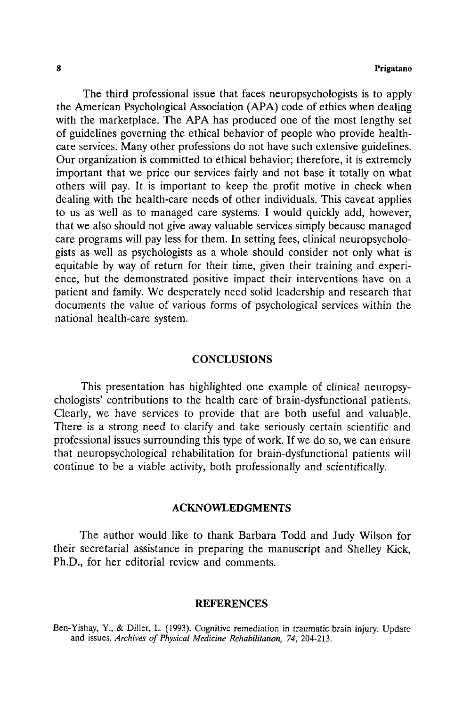The third professional issue that faces neuropsychologists is to apply the American Psychological Association (APA) code of ethics when dealing with the marketplace. The APA has produced one of the most lengthy set of guidelines governing the ethical behavior of people who provide healthcare services. Many other professions do not have such extensive guidelines. Our organization is committed to ethical behavior; therefore, it is extremely important that we price our services fairly and not base it totally on what others will pay. It is important to keep the profit motive in check when dealing with the health-care needs of other individuals. This caveat applies to us as well as to managed care systems. I would quickly add, however, that we also should not give away valuable services simply because managed care programs will pay less for them. In setting fees, clinical neuropsychologists as well as psychologists as a whole should consider not only what is equitable by way of return for their time, given their training and experience, but the demonstrated positive impact their interventions have on a patient and family. We desperately need solid leadership and research that documents the value of various forms of psychological services within the national health-care system.

#### CONCLUSIONS

This presentation has highlighted one example of clinical neuropsychologists' contributions to the health care of brain-dysfunctional patients. Clearly, we have services to provide that are both useful and valuable. There is a strong need to clarify and take seriously certain scientific and professional issues surrounding this type of work. If we do so, we can ensure that neuropsychological rehabilitation for brain-dysfunctional patients will continue to be a viable activity, both professionally and scientifically.

### ACKNOWLEDGMENTS

The author would like to thank Barbara Todd and Judy Wilson for their secretarial assistance in preparing the manuscript and Shelley Kick, Ph.D., for her editorial review and comments.

### REFERENCES

Ben-Yishay, Y., & Diller, L. (1993). Cognitive remediation in traumatic brain injury: Update and issues. *Archives of Physical Medicine Rehabilitation, 74,* 204-213.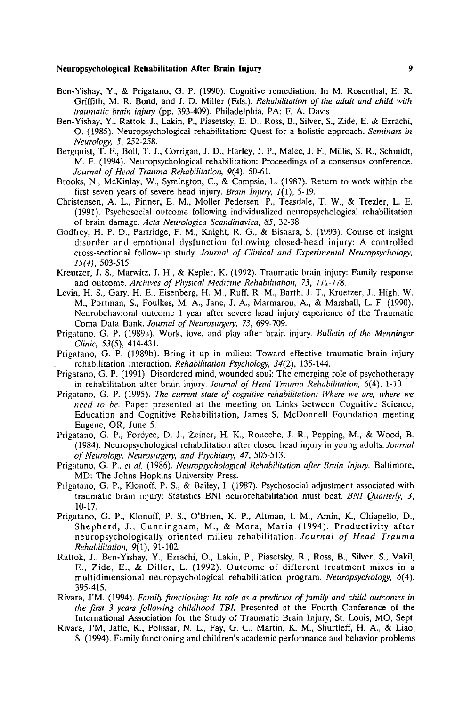#### **Neuropsychological Rehabilitation After Brain Injury 9**

- Ben-Yishay, Y., & Prigatano, G. P. (1990). Cognitive remediation. In M. Rosenthal, E. R. Griffith, M. R. Bond, and J. D. Miller (Eds.), *Rehabilitation of the adult and child with traumatic brain injury* (pp. 393-409). Philadelphia, PA: F. A. Davis
- Ben-Yishay, Y., Rattok, J., Lakin, P., Piasetsky, E. D., Ross, B., Silver, S., Zide, E. & Ezrachi, O. (1985). Neuropsychologieal rehabilitation: Quest for a holistie approach. *Seminars in Neurology, 5,* 252-258.
- Bergquist, T. F., Boll, T. J., Corrigan, J. D., Harley, J. P., Malec, J. F., Millis, S. R., Schmidt, M. F. (1994). Neuropsychological rehabilitation: Proceedings of a consensus conference. *Journal of Head Trauma Rehabilitation,* 9(4), 50-61.
- Brooks, N., McKinlay, W., Symington, C., & Campsie, L. (1987). Return to work within the first seven years of severe head injury. *Brain Injury,* 1(1), 5-19.
- Christensen, A. L., Pinner, E. M., Moiler Pedersen, P., Teasdale, T. W., & Trexler, L. E. (1991). Psychosocial outcome following individualized neuropsychological rehabilitation of brain damage. *Acta Neurologica Scandhlavica, 85,* 32-38.
- Godfrey, H. P. D., Partridge, F. M., Knight, R. G., & Bisbara, S. (1993). Course of insight disorder and emotional dysfunction following closed-head injury: A controlled cross-sectional follow-up study. *Journal of Clinical and Experimental Neuropsychology, 15(4),* 503-515.
- Kreutzer, J. S., Marwitz, J. H., & Kepler, K. (1992). Traumatic brain injury: Family response and outcome. *Archives of Physical Medicine Rehabilitation, 73,* 771-778.
- Levin, H. S., Gary, H. E., Eisenberg, H. M., Ruff, R. M., Barth, J. T., Kruetzer, J., High, W. M., Portman, S., Foulkes, M. A., Jane, J. A., Marmarou, A., & Marshall, L. F. (1990). Neurobehavioral outcome 1 year after severe head injury experience of the Traumatic Coma Data Bank. *Journal of Neurosurgery, 73,* 699-709.
- Prigatano, G. P. (1989a). Work, love, and play after brain injury. *Bulletin of the Menninger Clinic,* 53(5), 414-431.
- Prigatano, G. P. (1989b). Bring it up in milieu: Toward effective traumatic brain injury rehabilitation interaction. *Rehabilitation Psychology,* 34(2), 135-144.
- Prigatano, G. P. (1991). Disordered mind, wounded soul: The emerging role of psychotherapy in rehabilitation after brain injury. *Journal of Head Trauma Rehabilitation,* 6(4), 1-10.
- Prigatano, G. P. (1995). *The current state of cognitive rehabilitation: Where we are, where we need to be.* Paper presented at the meeting on Links between Cognitive Science, Education and Cognitive Rehabilitation, James S. McDonnell Foundation meeting Eugene, OR, June 5.
- Prigatano, G. P., Fordyce, D. J., Zeiner, H. K., Roueche, J. R., Pepping, M., & Wood, B. (1984). Neuropsychological rehabilitation after closed head injury in young adults. *Journal of Neurology, Neurosurgery, and Psychiatry, 47,* 505-513.
- Prigatano, G. P., *et al.* (1986). *Neuropsychological Rehabilitation after Brain Injury.* Baltimore, MD: The Johns Hopkins University Press.
- Prigatano, G. P., Klonoff, P. S., & Bailey, I. (1987). Psychosocial adjustment associated with traumatic brain injury: Statistics BNI neurorehabilitation must beat. *BNI Quarterly, 3,*  10-17.
- Prigatano, G. P., Klonoff, P. S., O'Brien, K. P., Altman, I. M., Amin, K., Chiapello, D., Shepherd, J., Cunningham, M., & Mora, Maria (1994). Productivity after neuropsychologically oriented milieu rehabilitation. *Journal of Head Trauma Rehabilitation,* 9(1), 91-102.
- Rattok, J., Ben-Yishay, Y., Ezrachi, O., Lakin, P., Piasetsky, R., Ross, B., Silver, S., Vakil, E., Zide, E., & Diller, L. (1992). Outcome of different treatment mixes in a multidimensional neuropsychological rehabilitation program. *Neuropsychology,* 6(4), 395-415.
- Rivara, J'M. (1994). *Family functioning." Its role as a predictor of family and child outcomes in the first 3 years following childhood TBL* Presented at the Fourth Conference of the International Association for the Study of Traumatic Brain Injury, St. Louis, MO, Sept.
- Rivara, J'M, Jaffe, K., Polissar, N. L., Fay, G. C., Martin, K. M., Shurtleff, H. A., & Liao, S. (1994). Family functioning and children's academic performance and behavior problems